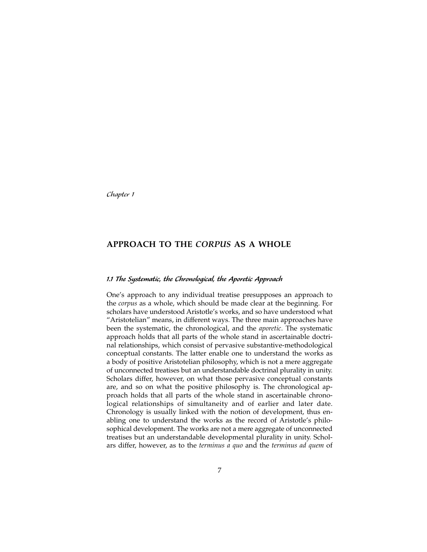Chapter 1

# **APPROACH TO THE** *CORPUS* **AS A WHOLE**

### 1.1 The Systematic, the Chronological, the Aporetic Approach

One's approach to any individual treatise presupposes an approach to the *corpus* as a whole, which should be made clear at the beginning. For scholars have understood Aristotle's works, and so have understood what "Aristotelian" means, in different ways. The three main approaches have been the systematic, the chronological, and the *aporetic*. The systematic approach holds that all parts of the whole stand in ascertainable doctrinal relationships, which consist of pervasive substantive-methodological conceptual constants. The latter enable one to understand the works as a body of positive Aristotelian philosophy, which is not a mere aggregate of unconnected treatises but an understandable doctrinal plurality in unity. Scholars differ, however, on what those pervasive conceptual constants are, and so on what the positive philosophy is. The chronological approach holds that all parts of the whole stand in ascertainable chronological relationships of simultaneity and of earlier and later date. Chronology is usually linked with the notion of development, thus enabling one to understand the works as the record of Aristotle's philosophical development. The works are not a mere aggregate of unconnected treatises but an understandable developmental plurality in unity. Scholars differ, however, as to the *terminus a quo* and the *terminus ad quem* of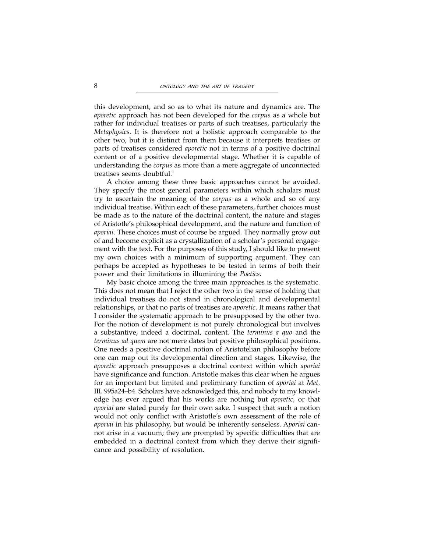this development, and so as to what its nature and dynamics are. The *aporetic* approach has not been developed for the *corpus* as a whole but rather for individual treatises or parts of such treatises, particularly the *Metaphysics*. It is therefore not a holistic approach comparable to the other two, but it is distinct from them because it interprets treatises or parts of treatises considered *aporetic* not in terms of a positive doctrinal content or of a positive developmental stage. Whether it is capable of understanding the *corpus* as more than a mere aggregate of unconnected treatises seems doubtful. $1$ 

A choice among these three basic approaches cannot be avoided. They specify the most general parameters within which scholars must try to ascertain the meaning of the *corpus* as a whole and so of any individual treatise. Within each of these parameters, further choices must be made as to the nature of the doctrinal content, the nature and stages of Aristotle's philosophical development, and the nature and function of *aporiai*. These choices must of course be argued. They normally grow out of and become explicit as a crystallization of a scholar's personal engagement with the text. For the purposes of this study, I should like to present my own choices with a minimum of supporting argument. They can perhaps be accepted as hypotheses to be tested in terms of both their power and their limitations in illumining the *Poetics*.

My basic choice among the three main approaches is the systematic. This does not mean that I reject the other two in the sense of holding that individual treatises do not stand in chronological and developmental relationships, or that no parts of treatises are *aporetic*. It means rather that I consider the systematic approach to be presupposed by the other two. For the notion of development is not purely chronological but involves a substantive, indeed a doctrinal, content. The *terminus a quo* and the *terminus ad quem* are not mere dates but positive philosophical positions. One needs a positive doctrinal notion of Aristotelian philosophy before one can map out its developmental direction and stages. Likewise, the *aporetic* approach presupposes a doctrinal context within which *aporiai* have significance and function. Aristotle makes this clear when he argues for an important but limited and preliminary function of *aporiai* at *Met*. III. 995a24–b4. Scholars have acknowledged this, and nobody to my knowledge has ever argued that his works are nothing but *aporetic,* or that *aporiai* are stated purely for their own sake. I suspect that such a notion would not only conflict with Aristotle's own assessment of the role of *aporiai* in his philosophy, but would be inherently senseless. A*poriai* cannot arise in a vacuum; they are prompted by specific difficulties that are embedded in a doctrinal context from which they derive their significance and possibility of resolution.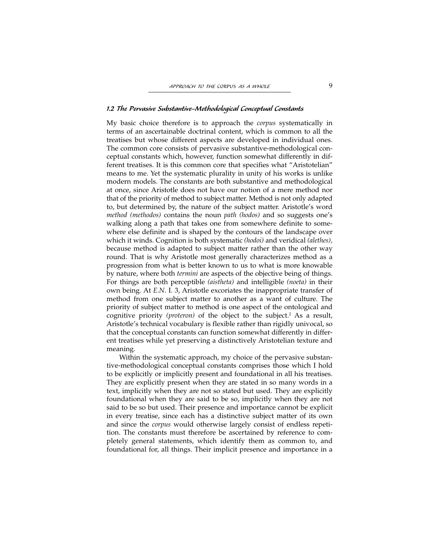## 1.2 The Pervasive Substantive-Methodological Conceptual Constants

My basic choice therefore is to approach the *corpus* systematically in terms of an ascertainable doctrinal content, which is common to all the treatises but whose different aspects are developed in individual ones. The common core consists of pervasive substantive-methodological conceptual constants which, however, function somewhat differently in different treatises. It is this common core that specifies what "Aristotelian" means to me. Yet the systematic plurality in unity of his works is unlike modern models. The constants are both substantive and methodological at once, since Aristotle does not have our notion of a mere method nor that of the priority of method to subject matter. Method is not only adapted to, but determined by, the nature of the subject matter. Aristotle's word *method (methodos)* contains the noun *path (hodos)* and so suggests one's walking along a path that takes one from somewhere definite to somewhere else definite and is shaped by the contours of the landscape over which it winds. Cognition is both systematic *(hodoi)* and veridical *(alethes),* because method is adapted to subject matter rather than the other way round. That is why Aristotle most generally characterizes method as a progression from what is better known to us to what is more knowable by nature, where both *termini* are aspects of the objective being of things. For things are both perceptible *(aistheta)* and intelligible *(noeta)* in their own being. At *E*.*N*. I. 3, Aristotle excoriates the inappropriate transfer of method from one subject matter to another as a want of culture. The priority of subject matter to method is one aspect of the ontological and cognitive priority (proteron) of the object to the subject.<sup>2</sup> As a result, Aristotle's technical vocabulary is flexible rather than rigidly univocal, so that the conceptual constants can function somewhat differently in different treatises while yet preserving a distinctively Aristotelian texture and meaning.

Within the systematic approach, my choice of the pervasive substantive-methodological conceptual constants comprises those which I hold to be explicitly or implicitly present and foundational in all his treatises. They are explicitly present when they are stated in so many words in a text, implicitly when they are not so stated but used. They are explicitly foundational when they are said to be so, implicitly when they are not said to be so but used. Their presence and importance cannot be explicit in every treatise, since each has a distinctive subject matter of its own and since the *corpus* would otherwise largely consist of endless repetition. The constants must therefore be ascertained by reference to completely general statements, which identify them as common to, and foundational for, all things. Their implicit presence and importance in a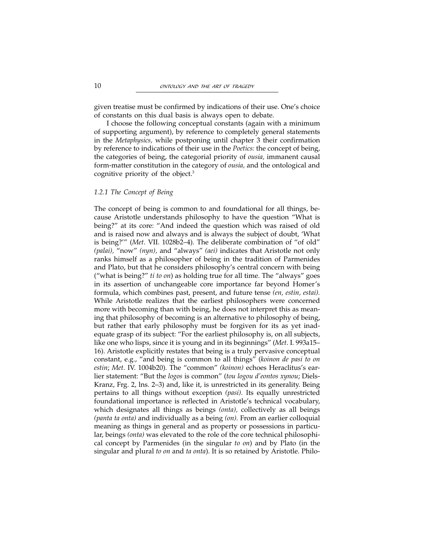given treatise must be confirmed by indications of their use. One's choice of constants on this dual basis is always open to debate.

I choose the following conceptual constants (again with a minimum of supporting argument), by reference to completely general statements in the *Metaphysics,* while postponing until chapter 3 their confirmation by reference to indications of their use in the *Poetics:* the concept of being, the categories of being, the categorial priority of *ousia,* immanent causal form-matter constitution in the category of *ousia,* and the ontological and cognitive priority of the object.3

#### *1.2.1 The Concept of Being*

The concept of being is common to and foundational for all things, because Aristotle understands philosophy to have the question "What is being?" at its core: "And indeed the question which was raised of old and is raised now and always and is always the subject of doubt, 'What is being?'" (*Met*. VII. 1028b2–4). The deliberate combination of "of old" *(palai),* "now" *(nyn),* and "always" *(aei)* indicates that Aristotle not only ranks himself as a philosopher of being in the tradition of Parmenides and Plato, but that he considers philosophy's central concern with being ("what is being?" *ti to on*) as holding true for all time. The "always" goes in its assertion of unchangeable core importance far beyond Homer's formula, which combines past, present, and future tense *(en, estin, estai).* While Aristotle realizes that the earliest philosophers were concerned more with becoming than with being, he does not interpret this as meaning that philosophy of becoming is an alternative to philosophy of being, but rather that early philosophy must be forgiven for its as yet inadequate grasp of its subject: "For the earliest philosophy is, on all subjects, like one who lisps, since it is young and in its beginnings" (*Met*. I. 993a15– 16). Aristotle explicitly restates that being is a truly pervasive conceptual constant, e.g., "and being is common to all things" (*koinon de pasi to on estin*; *Met*. IV. 1004b20). The "common" *(koinon)* echoes Heraclitus's earlier statement: "But the *logos* is common" (*tou logou d'eontos xynou*; Diels-Kranz, Frg. 2, lns. 2–3) and, like it, is unrestricted in its generality. Being pertains to all things without exception *(pasi).* Its equally unrestricted foundational importance is reflected in Aristotle's technical vocabulary, which designates all things as beings *(onta),* collectively as all beings *(panta ta onta)* and individually as a being *(on).* From an earlier colloquial meaning as things in general and as property or possessions in particular, beings *(onta)* was elevated to the role of the core technical philosophical concept by Parmenides (in the singular *to on*) and by Plato (in the singular and plural *to on* and *ta onta*). It is so retained by Aristotle. Philo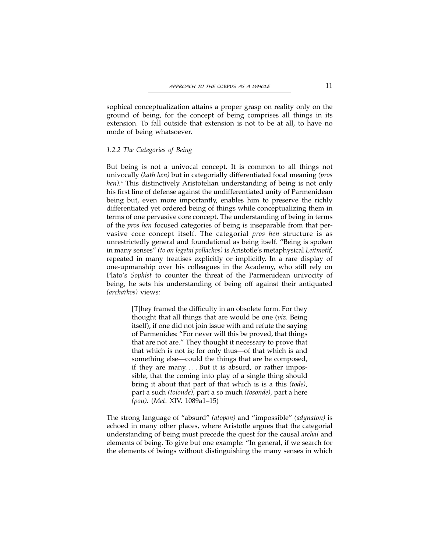sophical conceptualization attains a proper grasp on reality only on the ground of being, for the concept of being comprises all things in its extension. To fall outside that extension is not to be at all, to have no mode of being whatsoever.

## *1.2.2 The Categories of Being*

But being is not a univocal concept. It is common to all things not univocally *(kath hen)* but in categorially differentiated focal meaning *(pros hen).*<sup>4</sup> This distinctively Aristotelian understanding of being is not only his first line of defense against the undifferentiated unity of Parmenidean being but, even more importantly, enables him to preserve the richly differentiated yet ordered being of things while conceptualizing them in terms of one pervasive core concept. The understanding of being in terms of the *pros hen* focused categories of being is inseparable from that pervasive core concept itself. The categorial *pros hen* structure is as unrestrictedly general and foundational as being itself. "Being is spoken in many senses" *(to on legetai pollachos)* is Aristotle's metaphysical *Leitmotif,* repeated in many treatises explicitly or implicitly. In a rare display of one-upmanship over his colleagues in the Academy, who still rely on Plato's *Sophist* to counter the threat of the Parmenidean univocity of being, he sets his understanding of being off against their antiquated *(archaïkos)* views:

> [T]hey framed the difficulty in an obsolete form. For they thought that all things that are would be one (*viz.* Being itself), if one did not join issue with and refute the saying of Parmenides: "For never will this be proved, that things that are not are." They thought it necessary to prove that that which is not is; for only thus—of that which is and something else—could the things that are be composed, if they are many....But it is absurd, or rather impossible, that the coming into play of a single thing should bring it about that part of that which is is a this *(tode),* part a such *(toionde),* part a so much *(tosonde),* part a here *(pou).* (*Met*. XIV. 1089a1–15)

The strong language of "absurd" *(atopon)* and "impossible" *(adynaton)* is echoed in many other places, where Aristotle argues that the categorial understanding of being must precede the quest for the causal *archai* and elements of being. To give but one example: "In general, if we search for the elements of beings without distinguishing the many senses in which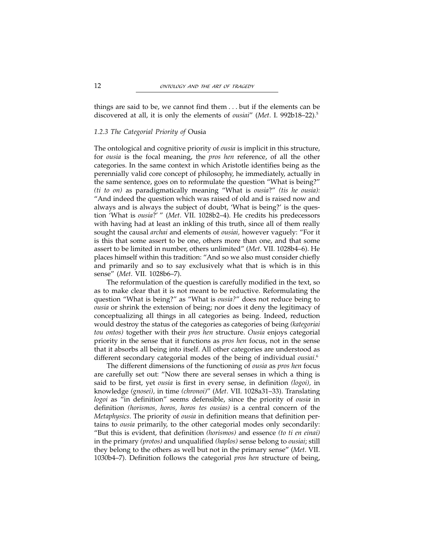things are said to be, we cannot find them . . . but if the elements can be discovered at all, it is only the elements of *ousiai*" (*Met*. I. 992b18–22).5

#### *1.2.3 The Categorial Priority of* Ousia

The ontological and cognitive priority of *ousia* is implicit in this structure, for *ousia* is the focal meaning, the *pros hen* reference, of all the other categories. In the same context in which Aristotle identifies being as the perennially valid core concept of philosophy, he immediately, actually in the same sentence, goes on to reformulate the question "What is being?" *(ti to on)* as paradigmatically meaning "What is *ousia*?" *(tis he ousia):* "And indeed the question which was raised of old and is raised now and always and is always the subject of doubt, 'What is being?' is the question 'What is *ousia*?' " (*Met*. VII. 1028b2–4). He credits his predecessors with having had at least an inkling of this truth, since all of them really sought the causal *archai* and elements of *ousiai,* however vaguely: "For it is this that some assert to be one, others more than one, and that some assert to be limited in number, others unlimited" (*Met*. VII. 1028b4–6). He places himself within this tradition: "And so we also must consider chiefly and primarily and so to say exclusively what that is which is in this sense" (*Met*. VII. 1028b6–7).

The reformulation of the question is carefully modified in the text, so as to make clear that it is not meant to be reductive. Reformulating the question "What is being?" as "What is *ousia?*" does not reduce being to *ousia* or shrink the extension of being; nor does it deny the legitimacy of conceptualizing all things in all categories as being. Indeed, reduction would destroy the status of the categories as categories of being *(kategoriai tou ontos)* together with their *pros hen* structure. *Ousia* enjoys categorial priority in the sense that it functions as *pros hen* focus, not in the sense that it absorbs all being into itself. All other categories are understood as different secondary categorial modes of the being of individual *ousiai*. 6

The different dimensions of the functioning of *ousia* as *pros hen* focus are carefully set out: "Now there are several senses in which a thing is said to be first, yet *ousia* is first in every sense, in definition *(logoi),* in knowledge *(gnosei),* in time *(chronoi)*" (*Met*. VII. 1028a31–33). Translating *logoi* as "in definition" seems defensible, since the priority of *ousia* in definition *(horismos, horos, horos tes ousias)* is a central concern of the *Metaphysics*. The priority of *ousia* in definition means that definition pertains to *ousia* primarily, to the other categorial modes only secondarily: "But this is evident, that definition *(horismos)* and essence *(to ti en einai)* in the primary *(protos)* and unqualified *(haplos)* sense belong to *ousiai*; still they belong to the others as well but not in the primary sense" (*Met*. VII. 1030b4–7). Definition follows the categorial *pros hen* structure of being,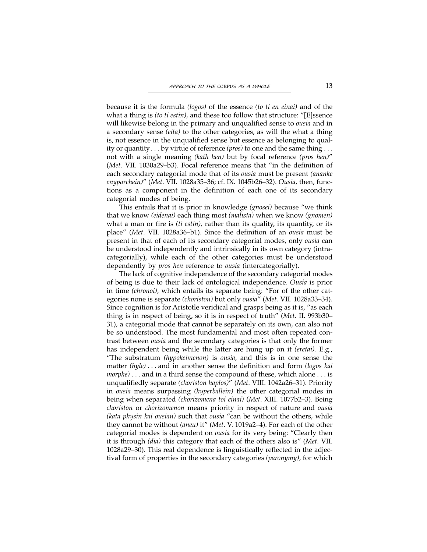because it is the formula *(logos)* of the essence *(to ti en einai)* and of the what a thing is *(to ti estin),* and these too follow that structure: "[E]ssence will likewise belong in the primary and unqualified sense to *ousia* and in a secondary sense *(eita)* to the other categories, as will the what a thing is, not essence in the unqualified sense but essence as belonging to quality or quantity . . . by virtue of reference *(pros)* to one and the same thing . . . not with a single meaning *(kath hen)* but by focal reference *(pros hen)*" (*Met*. VII. 1030a29–b3). Focal reference means that "in the definition of each secondary categorial mode that of its *ousia* must be present *(ananke enyparchein)*" (*Met*. VII. 1028a35–36; cf. IX. 1045b26–32). *Ousia,* then, functions as a component in the definition of each one of its secondary categorial modes of being.

This entails that it is prior in knowledge *(gnosei)* because "we think that we know *(eidenai)* each thing most *(malista)* when we know *(gnomen)* what a man or fire is *(ti estin)*, rather than its quality, its quantity, or its place" (*Met*. VII. 1028a36–b1). Since the definition of an *ousia* must be present in that of each of its secondary categorial modes, only *ousia* can be understood independently and intrinsically in its own category (intracategorially), while each of the other categories must be understood dependently by *pros hen* reference to *ousia* (intercategorially).

The lack of cognitive independence of the secondary categorial modes of being is due to their lack of ontological independence. *Ousia* is prior in time *(chronoi),* which entails its separate being: "For of the other categories none is separate *(choriston)* but only *ousia*" (*Met*. VII. 1028a33–34). Since cognition is for Aristotle veridical and grasps being as it is, "as each thing is in respect of being, so it is in respect of truth" (*Met*. II. 993b30– 31), a categorial mode that cannot be separately on its own, can also not be so understood. The most fundamental and most often repeated contrast between *ousia* and the secondary categories is that only the former has independent being while the latter are hung up on it *(eretai).* E.g., "The substratum *(hypokeimenon)* is *ousia,* and this is in one sense the matter *(hyle)* . . . and in another sense the definition and form *(logos kai morphe*) . . . and in a third sense the compound of these, which alone . . . is unqualifiedly separate *(choriston haplos)*" (*Met*. VIII. 1042a26–31). Priority in *ousia* means surpassing *(hyperballein)* the other categorial modes in being when separated *(chorizomena toi einai)* (*Met*. XIII. 1077b2–3). Being *choriston* or *chorizomenon* means priority in respect of nature and *ousia (kata physin kai ousian)* such that *ousia* "can be without the others, while they cannot be without *(aneu)* it" (*Met*. V. 1019a2–4). For each of the other categorial modes is dependent on *ousia* for its very being: "Clearly then it is through *(dia)* this category that each of the others also is" (*Met*. VII. 1028a29–30). This real dependence is linguistically reflected in the adjectival form of properties in the secondary categories *(paronymy),* for which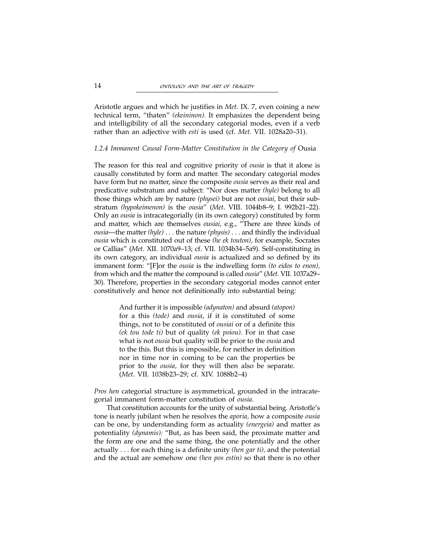Aristotle argues and which he justifies in *Met*. IX. 7, even coining a new technical term, "thaten" *(ekeininon).* It emphasizes the dependent being and intelligibility of all the secondary categorial modes, even if a verb rather than an adjective with *esti* is used (cf. *Met*. VII. 1028a20–31).

#### *1.2.4 Immanent Causal Form-Matter Constitution in the Category of* Ousia

The reason for this real and cognitive priority of *ousia* is that it alone is causally constituted by form and matter. The secondary categorial modes have form but no matter, since the composite *ousia* serves as their real and predicative substratum and subject: "Nor does matter *(hyle)* belong to all those things which are by nature *(physei)* but are not *ousiai,* but their substratum *(hypokeimenon)* is the *ousia*" (*Met*. VIII. 1044b8–9; I. 992b21–22). Only an *ousia* is intracategorially (in its own category) constituted by form and matter, which are themselves *ousiai*, e.g., "There are three kinds of *ousia*—the matter *(hyle)* . . . the nature *(physis)* . . . and thirdly the individual *ousia* which is constituted out of these *(he ek touton),* for example, Socrates or Callias" (*Met*. XII. 1070a9–13; cf. VII. 1034b34–5a9). Self-constituting in its own category, an individual *ousia* is actualized and so defined by its immanent form: "[F]or the *ousia* is the indwelling form *(to eidos to enon),* from which and the matter the compound is called *ousia*" (*Met*. VII. 1037a29– 30). Therefore, properties in the secondary categorial modes cannot enter constitutively and hence not definitionally into substantial being:

> And further it is impossible *(adynaton)* and absurd *(atopon)* for a this *(tode)* and *ousia*, if it is constituted of some things, not to be constituted of *ousiai* or of a definite this *(ek tou tode ti)* but of quality *(ek poiou).* For in that case what is not *ousia* but quality will be prior to the *ousia* and to the this. But this is impossible, for neither in definition nor in time nor in coming to be can the properties be prior to the *ousia,* for they will then also be separate. (*Met*. VII. 1038b23–29; cf. XIV. 1088b2–4)

*Pros hen* categorial structure is asymmetrical, grounded in the intracategorial immanent form-matter constitution of *ousia*.

That constitution accounts for the unity of substantial being. Aristotle's tone is nearly jubilant when he resolves the *aporia,* how a composite *ousia* can be one, by understanding form as actuality *(energeia)* and matter as potentiality *(dynamis):* "But, as has been said, the proximate matter and the form are one and the same thing, the one potentially and the other actually . . . for each thing is a definite unity *(hen gar ti),* and the potential and the actual are somehow one *(hen pos estin)* so that there is no other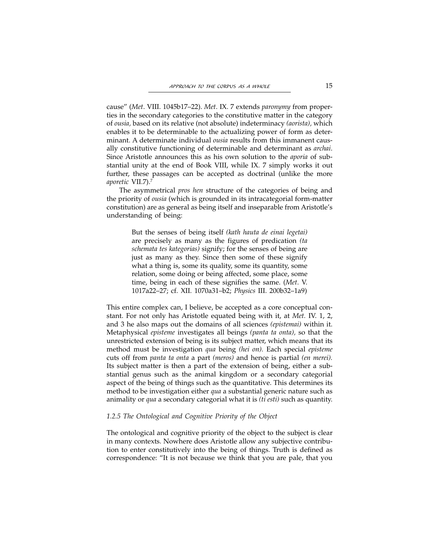cause" (*Met*. VIII. 1045b17–22). *Met*. IX. 7 extends *paronymy* from properties in the secondary categories to the constitutive matter in the category of *ousia,* based on its relative (not absolute) indeterminacy *(aorista),* which enables it to be determinable to the actualizing power of form as determinant. A determinate individual *ousia* results from this immanent causally constitutive functioning of determinable and determinant as *archai*. Since Aristotle announces this as his own solution to the *aporia* of substantial unity at the end of Book VIII, while IX. 7 simply works it out further, these passages can be accepted as doctrinal (unlike the more *aporetic* VII.7).7

The asymmetrical *pros hen* structure of the categories of being and the priority of *ousia* (which is grounded in its intracategorial form-matter constitution) are as general as being itself and inseparable from Aristotle's understanding of being:

> But the senses of being itself *(kath hauta de einai legetai)* are precisely as many as the figures of predication *(ta schemata tes kategorias)* signify; for the senses of being are just as many as they. Since then some of these signify what a thing is, some its quality, some its quantity, some relation, some doing or being affected, some place, some time, being in each of these signifies the same. (*Met*. V. 1017a22–27; cf. XII. 1070a31–b2; *Physics* III. 200b32–1a9)

This entire complex can, I believe, be accepted as a core conceptual constant. For not only has Aristotle equated being with it, at *Met.* IV. 1, 2, and 3 he also maps out the domains of all sciences *(epistemai)* within it. Metaphysical *episteme* investigates all beings *(panta ta onta),* so that the unrestricted extension of being is its subject matter, which means that its method must be investigation *qua* being *(hei on).* Each special *episteme* cuts off from *panta ta onta* a part *(meros)* and hence is partial *(en merei).* Its subject matter is then a part of the extension of being, either a substantial genus such as the animal kingdom or a secondary categorial aspect of the being of things such as the quantitative. This determines its method to be investigation either *qua* a substantial generic nature such as animality or *qua* a secondary categorial what it is *(ti esti)* such as quantity.

*1.2.5 The Ontological and Cognitive Priority of the Object*

The ontological and cognitive priority of the object to the subject is clear in many contexts. Nowhere does Aristotle allow any subjective contribution to enter constitutively into the being of things. Truth is defined as correspondence: "It is not because we think that you are pale, that you